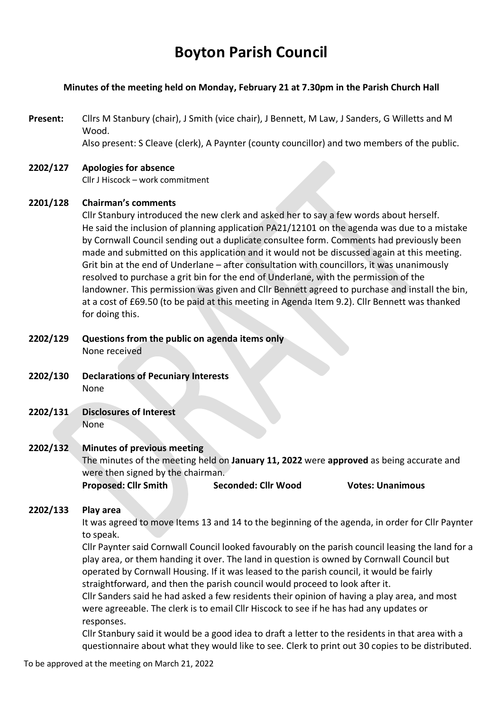# **Boyton Parish Council**

# **Minutes of the meeting held on Monday, February 21 at 7.30pm in the Parish Church Hall**

**Present:** Cllrs M Stanbury (chair), J Smith (vice chair), J Bennett, M Law, J Sanders, G Willetts and M Wood. Also present: S Cleave (clerk), A Paynter (county councillor) and two members of the public.

#### **2202/127 Apologies for absence** Cllr J Hiscock – work commitment

# **2201/128 Chairman's comments**

Cllr Stanbury introduced the new clerk and asked her to say a few words about herself. He said the inclusion of planning application PA21/12101 on the agenda was due to a mistake by Cornwall Council sending out a duplicate consultee form. Comments had previously been made and submitted on this application and it would not be discussed again at this meeting. Grit bin at the end of Underlane – after consultation with councillors, it was unanimously resolved to purchase a grit bin for the end of Underlane, with the permission of the landowner. This permission was given and Cllr Bennett agreed to purchase and install the bin, at a cost of £69.50 (to be paid at this meeting in Agenda Item 9.2). Cllr Bennett was thanked for doing this.

# **2202/129 Questions from the public on agenda items only** None received

- **2202/130 Declarations of Pecuniary Interests** None
- **2202/131 Disclosures of Interest**  None

# **2202/132 Minutes of previous meeting**

The minutes of the meeting held on **January 11, 2022** were **approved** as being accurate and were then signed by the chairman.

**Proposed: Cllr Smith Seconded: Cllr Wood Votes: Unanimous** 

# **2202/133 Play area**

It was agreed to move Items 13 and 14 to the beginning of the agenda, in order for Cllr Paynter to speak.

Cllr Paynter said Cornwall Council looked favourably on the parish council leasing the land for a play area, or them handing it over. The land in question is owned by Cornwall Council but operated by Cornwall Housing. If it was leased to the parish council, it would be fairly straightforward, and then the parish council would proceed to look after it.

Cllr Sanders said he had asked a few residents their opinion of having a play area, and most were agreeable. The clerk is to email Cllr Hiscock to see if he has had any updates or responses.

Cllr Stanbury said it would be a good idea to draft a letter to the residents in that area with a questionnaire about what they would like to see. Clerk to print out 30 copies to be distributed.

To be approved at the meeting on March 21, 2022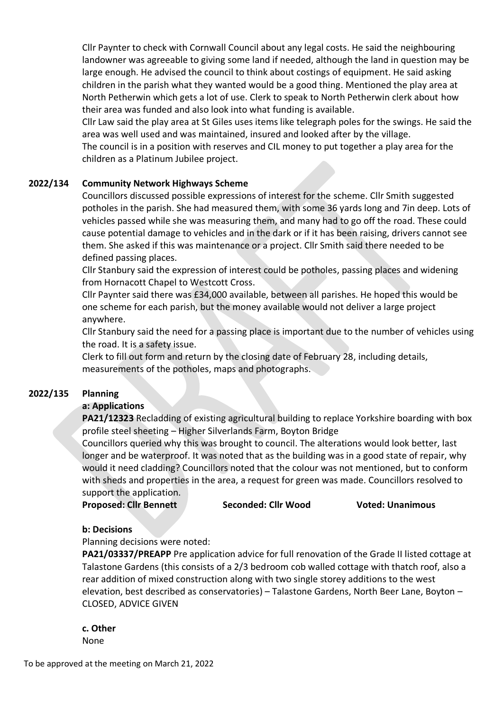Cllr Paynter to check with Cornwall Council about any legal costs. He said the neighbouring landowner was agreeable to giving some land if needed, although the land in question may be large enough. He advised the council to think about costings of equipment. He said asking children in the parish what they wanted would be a good thing. Mentioned the play area at North Petherwin which gets a lot of use. Clerk to speak to North Petherwin clerk about how their area was funded and also look into what funding is available.

Cllr Law said the play area at St Giles uses items like telegraph poles for the swings. He said the area was well used and was maintained, insured and looked after by the village.

The council is in a position with reserves and CIL money to put together a play area for the children as a Platinum Jubilee project.

# **2022/134 Community Network Highways Scheme**

Councillors discussed possible expressions of interest for the scheme. Cllr Smith suggested potholes in the parish. She had measured them, with some 36 yards long and 7in deep. Lots of vehicles passed while she was measuring them, and many had to go off the road. These could cause potential damage to vehicles and in the dark or if it has been raising, drivers cannot see them. She asked if this was maintenance or a project. Cllr Smith said there needed to be defined passing places.

Cllr Stanbury said the expression of interest could be potholes, passing places and widening from Hornacott Chapel to Westcott Cross.

Cllr Paynter said there was £34,000 available, between all parishes. He hoped this would be one scheme for each parish, but the money available would not deliver a large project anywhere.

Cllr Stanbury said the need for a passing place is important due to the number of vehicles using the road. It is a safety issue.

Clerk to fill out form and return by the closing date of February 28, including details, measurements of the potholes, maps and photographs.

#### **2022/135 Planning**

#### **a: Applications**

**PA21/12323** Recladding of existing agricultural building to replace Yorkshire boarding with box profile steel sheeting – Higher Silverlands Farm, Boyton Bridge

Councillors queried why this was brought to council. The alterations would look better, last longer and be waterproof. It was noted that as the building was in a good state of repair, why would it need cladding? Councillors noted that the colour was not mentioned, but to conform with sheds and properties in the area, a request for green was made. Councillors resolved to support the application.

**Proposed: Cllr Bennett Seconded: Cllr Wood Voted: Unanimous** 

#### **b: Decisions**

Planning decisions were noted:

**PA21/03337/PREAPP** Pre application advice for full renovation of the Grade II listed cottage at Talastone Gardens (this consists of a 2/3 bedroom cob walled cottage with thatch roof, also a rear addition of mixed construction along with two single storey additions to the west elevation, best described as conservatories) – Talastone Gardens, North Beer Lane, Boyton – CLOSED, ADVICE GIVEN

**c. Other** 

None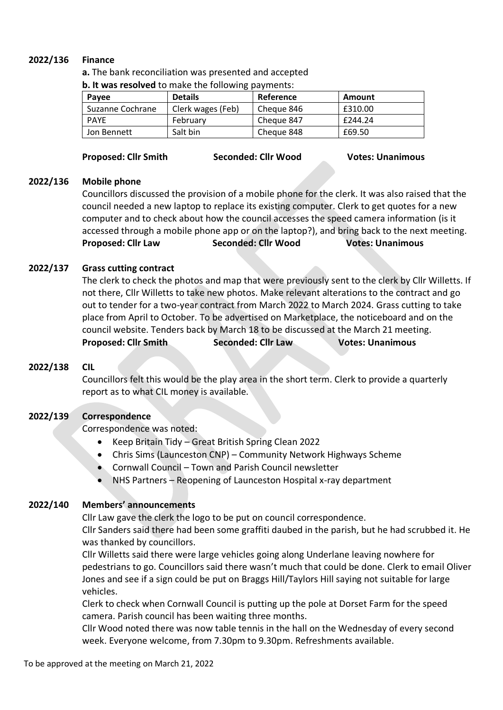# **2022/136 Finance**

**a.** The bank reconciliation was presented and accepted

| <b>p. it was resolved</b> to make the following payments: |                   |            |         |
|-----------------------------------------------------------|-------------------|------------|---------|
| Payee                                                     | <b>Details</b>    | Reference  | Amount  |
| Suzanne Cochrane                                          | Clerk wages (Feb) | Cheque 846 | £310.00 |
| <b>PAYE</b>                                               | February          | Cheque 847 | £244.24 |
| Jon Bennett                                               | Salt bin          | Cheque 848 | £69.50  |

# **Proposed: Cllr Smith Seconded: Cllr Wood Votes: Unanimous**

**b. It was resolved** to make the following payments:

## **2022/136 Mobile phone**

Councillors discussed the provision of a mobile phone for the clerk. It was also raised that the council needed a new laptop to replace its existing computer. Clerk to get quotes for a new computer and to check about how the council accesses the speed camera information (is it accessed through a mobile phone app or on the laptop?), and bring back to the next meeting. **Proposed: Cllr Law Seconded: Cllr Wood Votes: Unanimous**

# **2022/137 Grass cutting contract**

The clerk to check the photos and map that were previously sent to the clerk by Cllr Willetts. If not there, Cllr Willetts to take new photos. Make relevant alterations to the contract and go out to tender for a two-year contract from March 2022 to March 2024. Grass cutting to take place from April to October. To be advertised on Marketplace, the noticeboard and on the council website. Tenders back by March 18 to be discussed at the March 21 meeting. **Proposed: Cllr Smith Seconded: Cllr Law Votes: Unanimous** 

# **2022/138 CIL**

Councillors felt this would be the play area in the short term. Clerk to provide a quarterly report as to what CIL money is available.

# **2022/139 Correspondence**

Correspondence was noted:

- Keep Britain Tidy Great British Spring Clean 2022
- Chris Sims (Launceston CNP) Community Network Highways Scheme
- Cornwall Council Town and Parish Council newsletter
- NHS Partners Reopening of Launceston Hospital x-ray department

# **2022/140 Members' announcements**

Cllr Law gave the clerk the logo to be put on council correspondence.

Cllr Sanders said there had been some graffiti daubed in the parish, but he had scrubbed it. He was thanked by councillors.

Cllr Willetts said there were large vehicles going along Underlane leaving nowhere for pedestrians to go. Councillors said there wasn't much that could be done. Clerk to email Oliver Jones and see if a sign could be put on Braggs Hill/Taylors Hill saying not suitable for large vehicles.

Clerk to check when Cornwall Council is putting up the pole at Dorset Farm for the speed camera. Parish council has been waiting three months.

Cllr Wood noted there was now table tennis in the hall on the Wednesday of every second week. Everyone welcome, from 7.30pm to 9.30pm. Refreshments available.